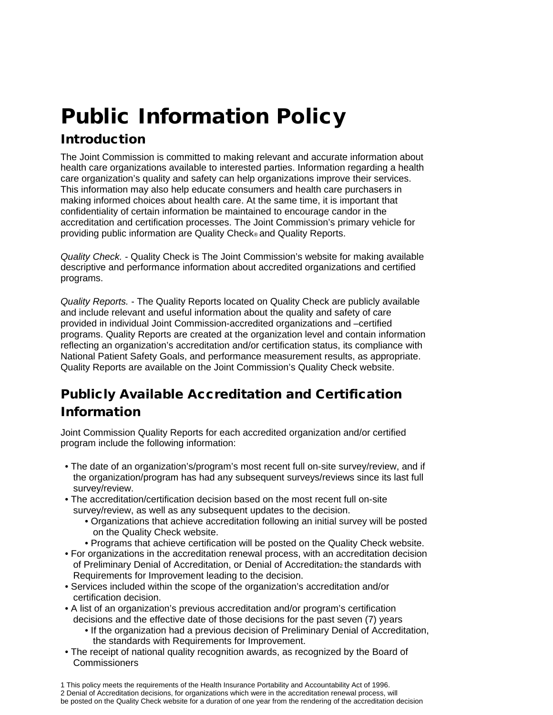# Public Information Policy

## Introduction

The Joint Commission is committed to making relevant and accurate information about health care organizations available to interested parties. Information regarding a health care organization's quality and safety can help organizations improve their services. This information may also help educate consumers and health care purchasers in making informed choices about health care. At the same time, it is important that confidentiality of certain information be maintained to encourage candor in the accreditation and certification processes. The Joint Commission's primary vehicle for providing public information are Quality Check® and Quality Reports.

*Quality Check.* - Quality Check is The Joint Commission's website for making available descriptive and performance information about accredited organizations and certified programs.

*Quality Reports.* - The Quality Reports located on Quality Check are publicly available and include relevant and useful information about the quality and safety of care provided in individual Joint Commission-accredited organizations and –certified programs. Quality Reports are created at the organization level and contain information reflecting an organization's accreditation and/or certification status, its compliance with National Patient Safety Goals, and performance measurement results, as appropriate. Quality Reports are available on the Joint Commission's Quality Check website.

# Publicly Available Accreditation and Certification Information

Joint Commission Quality Reports for each accredited organization and/or certified program include the following information:

- The date of an organization's/program's most recent full on-site survey/review, and if the organization/program has had any subsequent surveys/reviews since its last full survey/review.
- The accreditation/certification decision based on the most recent full on-site survey/review, as well as any subsequent updates to the decision.
	- Organizations that achieve accreditation following an initial survey will be posted on the Quality Check website.
	- Programs that achieve certification will be posted on the Quality Check website.
- For organizations in the accreditation renewal process, with an accreditation decision of Preliminary Denial of Accreditation, or Denial of Accreditation2 the standards with Requirements for Improvement leading to the decision.
- Services included within the scope of the organization's accreditation and/or certification decision.
- A list of an organization's previous accreditation and/or program's certification decisions and the effective date of those decisions for the past seven (7) years
	- If the organization had a previous decision of Preliminary Denial of Accreditation, the standards with Requirements for Improvement.
- The receipt of national quality recognition awards, as recognized by the Board of Commissioners

<sup>1</sup> This policy meets the requirements of the Health Insurance Portability and Accountability Act of 1996.

<sup>2</sup> Denial of Accreditation decisions, for organizations which were in the accreditation renewal process, will be posted on the Quality Check website for a duration of one year from the rendering of the accreditation decision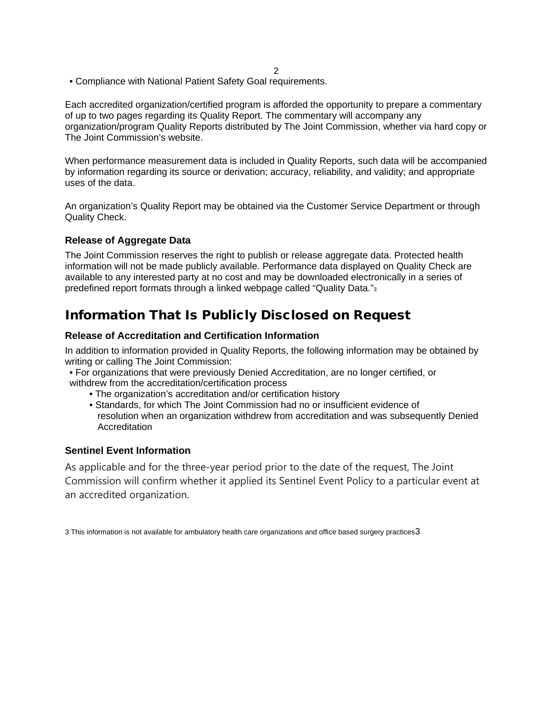• Compliance with National Patient Safety Goal requirements.

Each accredited organization/certified program is afforded the opportunity to prepare a commentary of up to two pages regarding its Quality Report. The commentary will accompany any organization/program Quality Reports distributed by The Joint Commission, whether via hard copy or The Joint Commission's website.

When performance measurement data is included in Quality Reports, such data will be accompanied by information regarding its source or derivation; accuracy, reliability, and validity; and appropriate uses of the data.

An organization's Quality Report may be obtained via the Customer Service Department or through Quality Check.

#### **Release of Aggregate Data**

The Joint Commission reserves the right to publish or release aggregate data. Protected health information will not be made publicly available. Performance data displayed on Quality Check are available to any interested party at no cost and may be downloaded electronically in a series of predefined report formats through a linked webpage called "Quality Data."3

## Information That Is Publicly Disclosed on Request

#### **Release of Accreditation and Certification Information**

In addition to information provided in Quality Reports, the following information may be obtained by writing or calling The Joint Commission:

- For organizations that were previously Denied Accreditation, are no longer certified, or withdrew from the accreditation/certification process
	- The organization's accreditation and/or certification history
	- Standards, for which The Joint Commission had no or insufficient evidence of resolution when an organization withdrew from accreditation and was subsequently Denied **Accreditation**

#### **Sentinel Event Information**

As applicable and for the three-year period prior to the date of the request, The Joint Commission will confirm whether it applied its Sentinel Event Policy to a particular event at an accredited organization.

3 This information is not available for ambulatory health care organizations and office based surgery practices $3$ 

2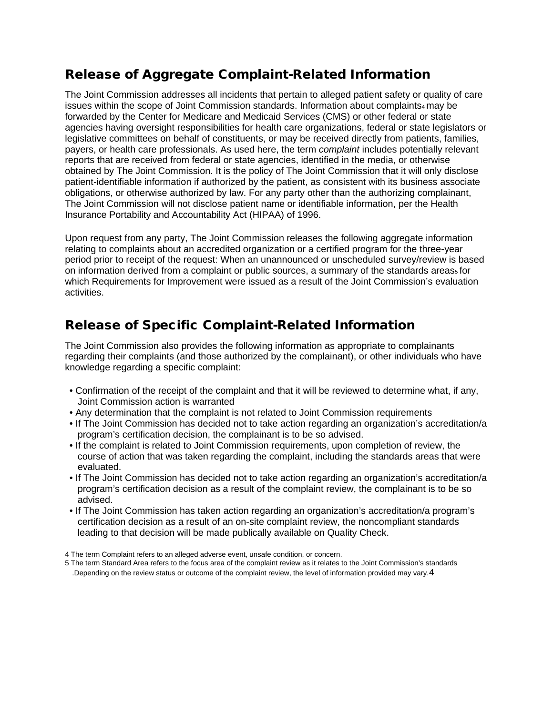#### Release of Aggregate Complaint-Related Information

The Joint Commission addresses all incidents that pertain to alleged patient safety or quality of care issues within the scope of Joint Commission standards. Information about complaints $4 \text{ may be}$ forwarded by the Center for Medicare and Medicaid Services (CMS) or other federal or state agencies having oversight responsibilities for health care organizations, federal or state legislators or legislative committees on behalf of constituents, or may be received directly from patients, families, payers, or health care professionals. As used here, the term *complaint* includes potentially relevant reports that are received from federal or state agencies, identified in the media, or otherwise obtained by The Joint Commission. It is the policy of The Joint Commission that it will only disclose patient-identifiable information if authorized by the patient, as consistent with its business associate obligations, or otherwise authorized by law. For any party other than the authorizing complainant, The Joint Commission will not disclose patient name or identifiable information, per the Health Insurance Portability and Accountability Act (HIPAA) of 1996.

Upon request from any party, The Joint Commission releases the following aggregate information relating to complaints about an accredited organization or a certified program for the three-year period prior to receipt of the request: When an unannounced or unscheduled survey/review is based on information derived from a complaint or public sources, a summary of the standards areas $_5$  for which Requirements for Improvement were issued as a result of the Joint Commission's evaluation activities.

#### Release of Specific Complaint-Related Information

The Joint Commission also provides the following information as appropriate to complainants regarding their complaints (and those authorized by the complainant), or other individuals who have knowledge regarding a specific complaint:

- Confirmation of the receipt of the complaint and that it will be reviewed to determine what, if any, Joint Commission action is warranted
- Any determination that the complaint is not related to Joint Commission requirements
- If The Joint Commission has decided not to take action regarding an organization's accreditation/a program's certification decision, the complainant is to be so advised.
- If the complaint is related to Joint Commission requirements, upon completion of review, the course of action that was taken regarding the complaint, including the standards areas that were evaluated.
- If The Joint Commission has decided not to take action regarding an organization's accreditation/a program's certification decision as a result of the complaint review, the complainant is to be so advised.
- If The Joint Commission has taken action regarding an organization's accreditation/a program's certification decision as a result of an on-site complaint review, the noncompliant standards leading to that decision will be made publically available on Quality Check.

5 The term Standard Area refers to the focus area of the complaint review as it relates to the Joint Commission's standards .Depending on the review status or outcome of the complaint review, the level of information provided may vary.4

<sup>4</sup> The term Complaint refers to an alleged adverse event, unsafe condition, or concern.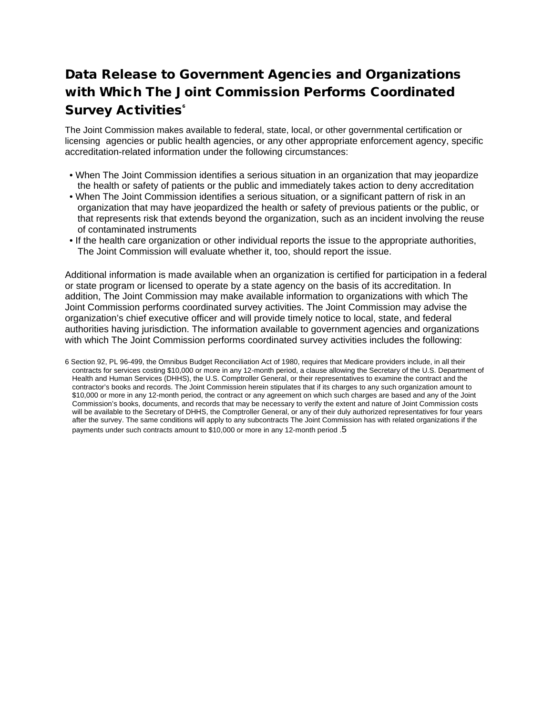## Data Release to Government Agencies and Organizations with Which The Joint Commission Performs Coordinated **Survey Activities**<sup>®</sup>

The Joint Commission makes available to federal, state, local, or other governmental certification or licensing agencies or public health agencies, or any other appropriate enforcement agency, specific accreditation-related information under the following circumstances:

- When The Joint Commission identifies a serious situation in an organization that may jeopardize the health or safety of patients or the public and immediately takes action to deny accreditation
- When The Joint Commission identifies a serious situation, or a significant pattern of risk in an organization that may have jeopardized the health or safety of previous patients or the public, or that represents risk that extends beyond the organization, such as an incident involving the reuse of contaminated instruments
- If the health care organization or other individual reports the issue to the appropriate authorities, The Joint Commission will evaluate whether it, too, should report the issue.

Additional information is made available when an organization is certified for participation in a federal or state program or licensed to operate by a state agency on the basis of its accreditation. In addition, The Joint Commission may make available information to organizations with which The Joint Commission performs coordinated survey activities. The Joint Commission may advise the organization's chief executive officer and will provide timely notice to local, state, and federal authorities having jurisdiction. The information available to government agencies and organizations with which The Joint Commission performs coordinated survey activities includes the following:

<sup>6</sup> Section 92, PL 96-499, the Omnibus Budget Reconciliation Act of 1980, requires that Medicare providers include, in all their contracts for services costing \$10,000 or more in any 12-month period, a clause allowing the Secretary of the U.S. Department of Health and Human Services (DHHS), the U.S. Comptroller General, or their representatives to examine the contract and the contractor's books and records. The Joint Commission herein stipulates that if its charges to any such organization amount to \$10,000 or more in any 12-month period, the contract or any agreement on which such charges are based and any of the Joint Commission's books, documents, and records that may be necessary to verify the extent and nature of Joint Commission costs will be available to the Secretary of DHHS, the Comptroller General, or any of their duly authorized representatives for four years after the survey. The same conditions will apply to any subcontracts The Joint Commission has with related organizations if the payments under such contracts amount to \$10,000 or more in any 12-month period .5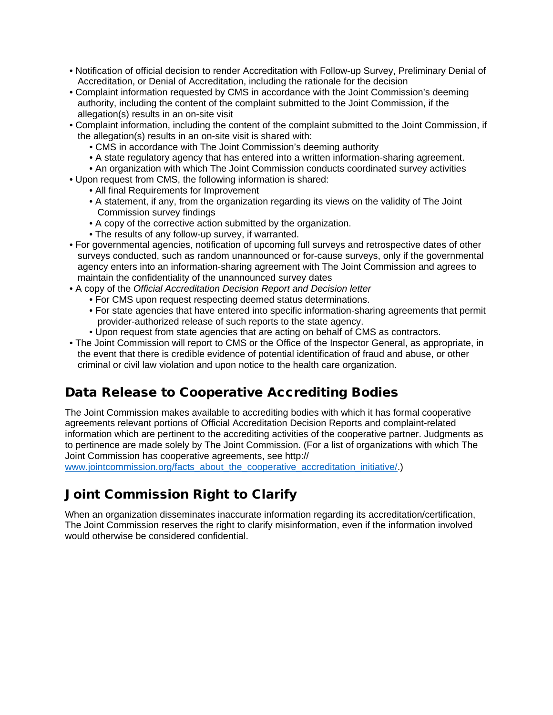- Notification of official decision to render Accreditation with Follow-up Survey, Preliminary Denial of Accreditation, or Denial of Accreditation, including the rationale for the decision
- Complaint information requested by CMS in accordance with the Joint Commission's deeming authority, including the content of the complaint submitted to the Joint Commission, if the allegation(s) results in an on-site visit
- Complaint information, including the content of the complaint submitted to the Joint Commission, if the allegation(s) results in an on-site visit is shared with:
	- CMS in accordance with The Joint Commission's deeming authority
	- A state regulatory agency that has entered into a written information-sharing agreement.
	- An organization with which The Joint Commission conducts coordinated survey activities
- Upon request from CMS, the following information is shared:
	- All final Requirements for Improvement
	- A statement, if any, from the organization regarding its views on the validity of The Joint Commission survey findings
	- A copy of the corrective action submitted by the organization.
	- The results of any follow-up survey, if warranted.
- For governmental agencies, notification of upcoming full surveys and retrospective dates of other surveys conducted, such as random unannounced or for-cause surveys, only if the governmental agency enters into an information-sharing agreement with The Joint Commission and agrees to maintain the confidentiality of the unannounced survey dates
- A copy of the *Official Accreditation Decision Report and Decision letter* 
	- For CMS upon request respecting deemed status determinations.
	- For state agencies that have entered into specific information-sharing agreements that permit provider-authorized release of such reports to the state agency.
	- Upon request from state agencies that are acting on behalf of CMS as contractors.
- The Joint Commission will report to CMS or the Office of the Inspector General, as appropriate, in the event that there is credible evidence of potential identification of fraud and abuse, or other criminal or civil law violation and upon notice to the health care organization.

#### Data Release to Cooperative Accrediting Bodies

The Joint Commission makes available to accrediting bodies with which it has formal cooperative agreements relevant portions of Official Accreditation Decision Reports and complaint-related information which are pertinent to the accrediting activities of the cooperative partner. Judgments as to pertinence are made solely by The Joint Commission. (For a list of organizations with which The Joint Commission has cooperative agreements, see http://

[www.jointcommission.org/facts\\_about\\_the\\_cooperative\\_accreditation\\_initiative/.](https://www.jointcommission.org/-/media/tjc/documents/fact-sheets/cooperative-accreditation-initiative-fact-sheet-02-13-18.pdf))

## Joint Commission Right to Clarify

When an organization disseminates inaccurate information regarding its accreditation/certification, The Joint Commission reserves the right to clarify misinformation, even if the information involved would otherwise be considered confidential.